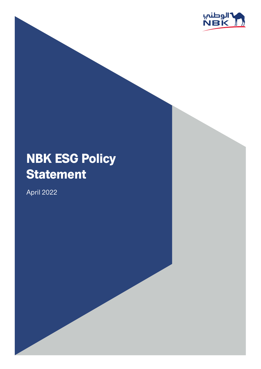

## **NBK ESG Policy Statement**

2022 April